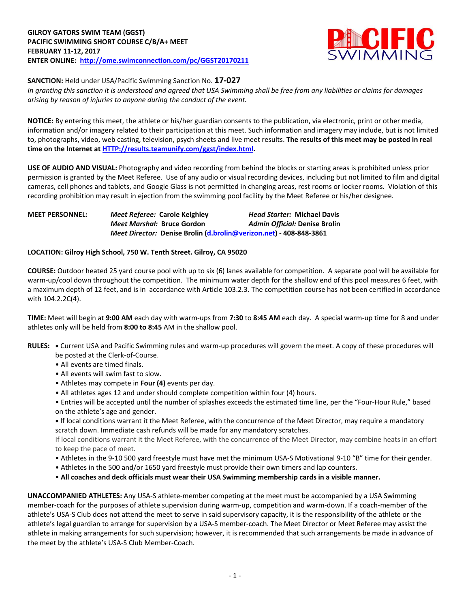

**SANCTION:** Held under USA/Pacific Swimming Sanction No. **17-027**

*In granting this sanction it is understood and agreed that USA Swimming shall be free from any liabilities or claims for damages arising by reason of injuries to anyone during the conduct of the event.*

**NOTICE:** By entering this meet, the athlete or his/her guardian consents to the publication, via electronic, print or other media, information and/or imagery related to their participation at this meet. Such information and imagery may include, but is not limited to, photographs, video, web casting, television, psych sheets and live meet results. **The results of this meet may be posted in real time on the Internet a[t HTTP://results.teamunify.com/ggst/index.html.](http://results.teamunify.com/ggst/index.html)**

**USE OF AUDIO AND VISUAL:** Photography and video recording from behind the blocks or starting areas is prohibited unless prior permission is granted by the Meet Referee. Use of any audio or visual recording devices, including but not limited to film and digital cameras, cell phones and tablets, and Google Glass is not permitted in changing areas, rest rooms or locker rooms. Violation of this recording prohibition may result in ejection from the swimming pool facility by the Meet Referee or his/her designee.

| <b>MEET PERSONNEL:</b> |                            | Meet Referee: Carole Keighley                                      | <b>Head Starter: Michael Davis</b> |
|------------------------|----------------------------|--------------------------------------------------------------------|------------------------------------|
|                        | Meet Marshal: Bruce Gordon |                                                                    | Admin Official: Denise Brolin      |
|                        |                            | Meet Director: Denise Brolin (d.brolin@verizon.net) - 408-848-3861 |                                    |

## **LOCATION: Gilroy High School, 750 W. Tenth Street. Gilroy, CA 95020**

**COURSE:** Outdoor heated 25 yard course pool with up to six (6) lanes available for competition.A separate pool will be available for warm-up/cool down throughout the competition. The minimum water depth for the shallow end of this pool measures 6 feet, with a maximum depth of 12 feet, and is in accordance with Article 103.2.3. The competition course has not been certified in accordance with 104.2.2C(4).

**TIME:** Meet will begin at **9:00 AM** each day with warm-ups from **7:30** to **8:45 AM** each day. A special warm-up time for 8 and under athletes only will be held from **8:00 to 8:45** AM in the shallow pool.

- **RULES: •** Current USA and Pacific Swimming rules and warm-up procedures will govern the meet. A copy of these procedures will be posted at the Clerk-of-Course.
	- All events are timed finals.
	- All events will swim fast to slow.
	- Athletes may compete in **Four (4)** events per day.
	- All athletes ages 12 and under should complete competition within four (4) hours.

• Entries will be accepted until the number of splashes exceeds the estimated time line, per the "Four-Hour Rule," based on the athlete's age and gender.

**•** If local conditions warrant it the Meet Referee, with the concurrence of the Meet Director, may require a mandatory scratch down. Immediate cash refunds will be made for any mandatory scratches.

If local conditions warrant it the Meet Referee, with the concurrence of the Meet Director, may combine heats in an effort to keep the pace of meet.

- Athletes in the 9-10 500 yard freestyle must have met the minimum USA-S Motivational 9-10 "B" time for their gender.
- Athletes in the 500 and/or 1650 yard freestyle must provide their own timers and lap counters.
- **All coaches and deck officials must wear their USA Swimming membership cards in a visible manner.**

**UNACCOMPANIED ATHLETES:** Any USA-S athlete-member competing at the meet must be accompanied by a USA Swimming member-coach for the purposes of athlete supervision during warm-up, competition and warm-down. If a coach-member of the athlete's USA-S Club does not attend the meet to serve in said supervisory capacity, it is the responsibility of the athlete or the athlete's legal guardian to arrange for supervision by a USA-S member-coach. The Meet Director or Meet Referee may assist the athlete in making arrangements for such supervision; however, it is recommended that such arrangements be made in advance of the meet by the athlete's USA-S Club Member-Coach.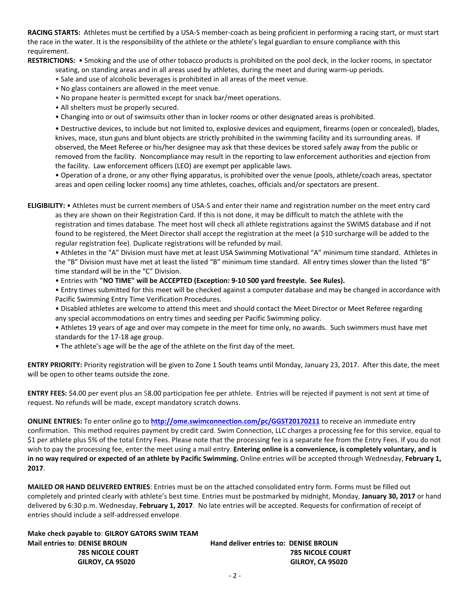**RACING STARTS:** Athletes must be certified by a USA-S member-coach as being proficient in performing a racing start, or must start the race in the water. It is the responsibility of the athlete or the athlete's legal guardian to ensure compliance with this requirement.

**RESTRICTIONS:** • Smoking and the use of other tobacco products is prohibited on the pool deck, in the locker rooms, in spectator

- seating, on standing areas and in all areas used by athletes, during the meet and during warm-up periods.
- Sale and use of alcoholic beverages is prohibited in all areas of the meet venue.
- No glass containers are allowed in the meet venue.
- No propane heater is permitted except for snack bar/meet operations.
- All shelters must be properly secured.
- Changing into or out of swimsuits other than in locker rooms or other designated areas is prohibited.

• Destructive devices, to include but not limited to, explosive devices and equipment, firearms (open or concealed), blades, knives, mace, stun guns and blunt objects are strictly prohibited in the swimming facility and its surrounding areas. If observed, the Meet Referee or his/her designee may ask that these devices be stored safely away from the public or removed from the facility. Noncompliance may result in the reporting to law enforcement authorities and ejection from the facility. Law enforcement officers (LEO) are exempt per applicable laws.

• Operation of a drone, or any other flying apparatus, is prohibited over the venue (pools, athlete/coach areas, spectator areas and open ceiling locker rooms) any time athletes, coaches, officials and/or spectators are present.

**ELIGIBILITY:** • Athletes must be current members of USA-S and enter their name and registration number on the meet entry card as they are shown on their Registration Card. If this is not done, it may be difficult to match the athlete with the registration and times database. The meet host will check all athlete registrations against the SWIMS database and if not found to be registered, the Meet Director shall accept the registration at the meet (a \$10 surcharge will be added to the regular registration fee). Duplicate registrations will be refunded by mail.

• Athletes in the "A" Division must have met at least USA Swimming Motivational "A" minimum time standard. Athletes in the "B" Division must have met at least the listed "B" minimum time standard. All entry times slower than the listed "B" time standard will be in the "C" Division.

• Entries with **"NO TIME" will be ACCEPTED (Exception: 9-10 500 yard freestyle. See Rules).**

• Entry times submitted for this meet will be checked against a computer database and may be changed in accordance with Pacific Swimming Entry Time Verification Procedures.

• Disabled athletes are welcome to attend this meet and should contact the Meet Director or Meet Referee regarding any special accommodations on entry times and seeding per Pacific Swimming policy.

• Athletes 19 years of age and over may compete in the meet for time only, no awards. Such swimmers must have met standards for the 17-18 age group.

• The athlete's age will be the age of the athlete on the first day of the meet.

**ENTRY PRIORITY:** Priority registration will be given to Zone 1 South teams until Monday, January 23, 2017. After this date, the meet will be open to other teams outside the zone.

**ENTRY FEES:** \$4.00 per event plus an \$8.00 participation fee per athlete. Entries will be rejected if payment is not sent at time of request. No refunds will be made, except mandatory scratch downs.

**ONLINE ENTRIES:** To enter online go to **<http://ome.swimconnection.com/pc/GGST20170211>** to receive an immediate entry confirmation. This method requires payment by credit card. Swim Connection, LLC charges a processing fee for this service, equal to \$1 per athlete plus 5% of the total Entry Fees. Please note that the processing fee is a separate fee from the Entry Fees. If you do not wish to pay the processing fee, enter the meet using a mail entry. **Entering online is a convenience, is completely voluntary, and is in no way required or expected of an athlete by Pacific Swimming.** Online entries will be accepted through Wednesday, **February 1, 2017**.

**MAILED OR HAND DELIVERED ENTRIES**: Entries must be on the attached consolidated entry form. Forms must be filled out completely and printed clearly with athlete's best time. Entries must be postmarked by midnight, Monday, **January 30, 2017** or hand delivered by 6:30 p.m. Wednesday, **February 1, 2017**. No late entries will be accepted. Requests for confirmation of receipt of entries should include a self-addressed envelope.

**Make check payable to**: **GILROY GATORS SWIM TEAM Mail entries to**: **DENISE BROLIN Hand deliver entries to: DENISE BROLIN**

 **785 NICOLE COURT 785 NICOLE COURT GILROY, CA 95020 GILROY, CA 95020**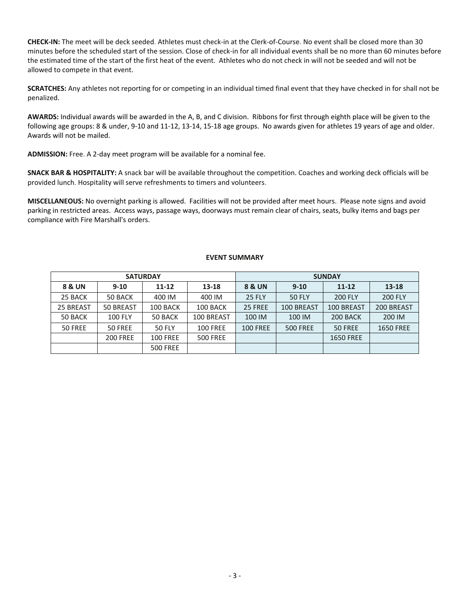**CHECK-IN:** The meet will be deck seeded. Athletes must check-in at the Clerk-of-Course. No event shall be closed more than 30 minutes before the scheduled start of the session. Close of check-in for all individual events shall be no more than 60 minutes before the estimated time of the start of the first heat of the event. Athletes who do not check in will not be seeded and will not be allowed to compete in that event.

**SCRATCHES:** Any athletes not reporting for or competing in an individual timed final event that they have checked in for shall not be penalized.

**AWARDS:** Individual awards will be awarded in the A, B, and C division. Ribbons for first through eighth place will be given to the following age groups: 8 & under, 9-10 and 11-12, 13-14, 15-18 age groups. No awards given for athletes 19 years of age and older. Awards will not be mailed.

**ADMISSION:** Free. A 2-day meet program will be available for a nominal fee.

**SNACK BAR & HOSPITALITY:** A snack bar will be available throughout the competition. Coaches and working deck officials will be provided lunch. Hospitality will serve refreshments to timers and volunteers.

**MISCELLANEOUS:** No overnight parking is allowed. Facilities will not be provided after meet hours. Please note signs and avoid parking in restricted areas. Access ways, passage ways, doorways must remain clear of chairs, seats, bulky items and bags per compliance with Fire Marshall's orders.

## **EVENT SUMMARY**

|           |                 | <b>SATURDAY</b> |                 | <b>SUNDAY</b>   |                 |                  |                  |  |  |
|-----------|-----------------|-----------------|-----------------|-----------------|-----------------|------------------|------------------|--|--|
| 8 & UN    | $9 - 10$        | $11 - 12$       | 13-18           | 8 & UN          | $9 - 10$        | 11-12            | $13 - 18$        |  |  |
| 25 BACK   | 50 BACK         | 400 IM          | 400 IM          | <b>25 FLY</b>   | <b>50 FLY</b>   | <b>200 FLY</b>   | <b>200 FLY</b>   |  |  |
| 25 BREAST | 50 BREAST       | 100 BACK        | 100 BACK        | 25 FREE         | 100 BREAST      | 100 BREAST       | 200 BREAST       |  |  |
| 50 BACK   | <b>100 FLY</b>  | 50 BACK         | 100 BREAST      | 100 IM          | 100 IM          | 200 BACK         | 200 IM           |  |  |
| 50 FREE   | 50 FREE         | <b>50 FLY</b>   | <b>100 FREE</b> | <b>100 FREE</b> | <b>500 FREE</b> | 50 FREE          | <b>1650 FREE</b> |  |  |
|           | <b>200 FREE</b> | <b>100 FREE</b> | <b>500 FREE</b> |                 |                 | <b>1650 FREE</b> |                  |  |  |
|           |                 | <b>500 FREE</b> |                 |                 |                 |                  |                  |  |  |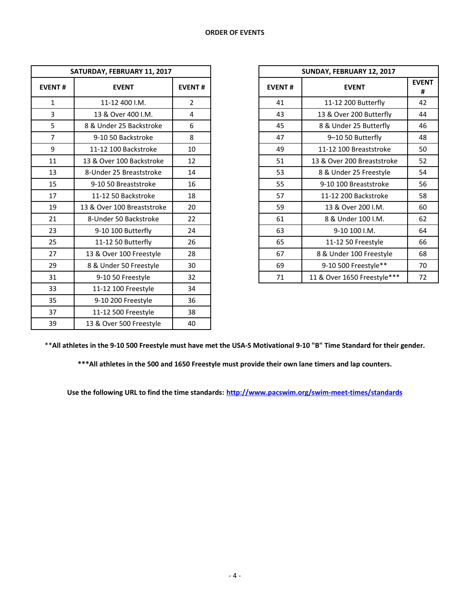| SATURDAY, FEBRUARY 11, 2017 |                            |                |  |
|-----------------------------|----------------------------|----------------|--|
| <b>EVENT#</b>               | <b>EVENT</b>               | <b>EVENT#</b>  |  |
| $\mathbf{1}$                | 11-12 400 I.M.             | $\overline{2}$ |  |
| 3                           | 13 & Over 400 I.M.         | 4              |  |
| 5                           | 8 & Under 25 Backstroke    | 6              |  |
| $\overline{7}$              | 9-10 50 Backstroke         | 8              |  |
| 9                           | 11-12 100 Backstroke       | 10             |  |
| 11                          | 13 & Over 100 Backstroke   | 12             |  |
| 13                          | 8-Under 25 Breaststroke    | 14             |  |
| 15                          | 9-10 50 Breaststroke       | 16             |  |
| 17                          | 11-12 50 Backstroke        | 18             |  |
| 19                          | 13 & Over 100 Breaststroke | 20             |  |
| 21                          | 8-Under 50 Backstroke      | 22             |  |
| 23                          | 9-10 100 Butterfly         | 24             |  |
| 25                          | 11-12 50 Butterfly         | 26             |  |
| 27                          | 13 & Over 100 Freestyle    | 28             |  |
| 29                          | 8 & Under 50 Freestyle     | 30             |  |
| 31                          | 9-10 50 Freestyle          | 32             |  |
| 33                          | 11-12 100 Freestyle        | 34             |  |
| 35                          | 9-10 200 Freestyle         | 36             |  |
| 37                          | 11-12 500 Freestyle        | 38             |  |
| 39                          | 13 & Over 500 Freestyle    | 40             |  |

| SATURDAY, FEBRUARY 11, 2017 |                            |                |               | SUNDAY, FEBRUARY 12, 2017   |              |
|-----------------------------|----------------------------|----------------|---------------|-----------------------------|--------------|
| <b>EVENT#</b>               | <b>EVENT</b>               | <b>EVENT#</b>  | <b>EVENT#</b> | <b>EVENT</b>                | <b>EVENT</b> |
| $\mathbf{1}$                | 11-12 400 I.M.             | $\overline{2}$ | 41            | 11-12 200 Butterfly         |              |
| 3                           | 13 & Over 400 I.M.         | 4              | 43            | 13 & Over 200 Butterfly     |              |
| 5                           | 8 & Under 25 Backstroke    | 6              | 45            | 8 & Under 25 Butterfly      | 46           |
| $\overline{7}$              | 9-10 50 Backstroke         | 8              | 47            | 9-10 50 Butterfly           | 48           |
| 9                           | 11-12 100 Backstroke       | 10             | 49            | 11-12 100 Breaststroke      | 50           |
| 11                          | 13 & Over 100 Backstroke   | 12             | 51            | 13 & Over 200 Breaststroke  | 52           |
| 13                          | 8-Under 25 Breaststroke    | 14             | 53            | 8 & Under 25 Freestyle      | 54           |
| 15                          | 9-10 50 Breaststroke       | 16             | 55            | 9-10 100 Breaststroke       | 56           |
| 17                          | 11-12 50 Backstroke        | 18             | 57            | 11-12 200 Backstroke        | 58           |
| 19                          | 13 & Over 100 Breaststroke | 20             | 59            | 13 & Over 200 I.M.          | 60           |
| 21                          | 8-Under 50 Backstroke      | 22             | 61            | 8 & Under 100 I.M.          | 62           |
| 23                          | 9-10 100 Butterfly         | 24             | 63            | 9-10 100 I.M.               | 64           |
| 25                          | 11-12 50 Butterfly         | 26             | 65            | 11-12 50 Freestyle          | 66           |
| 27                          | 13 & Over 100 Freestyle    | 28             | 67            | 8 & Under 100 Freestyle     | 68           |
| 29                          | 8 & Under 50 Freestyle     | 30             | 69            | 9-10 500 Freestyle**        | 70           |
| 31                          | 9-10 50 Freestyle          | 32             | 71            | 11 & Over 1650 Freestyle*** | 72           |

\*\***All athletes in the 9-10 500 Freestyle must have met the USA-S Motivational 9-10 "B" Time Standard for their gender.**

**\*\*\*All athletes in the 500 and 1650 Freestyle must provide their own lane timers and lap counters.**

**Use the following URL to find the time standards: <http://www.pacswim.org/swim-meet-times/standards>**